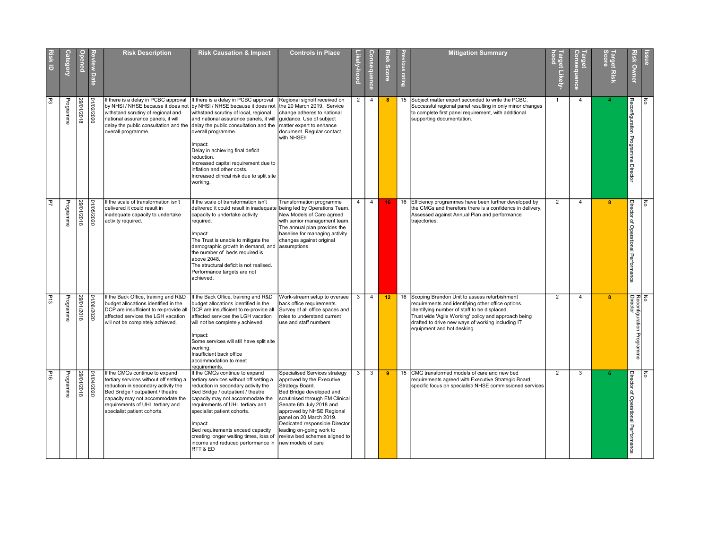| <b>Risk ID</b> | ategory   |            | <b>Date</b> | <b>Risk Description</b>                                                                                                                                                                                                                                      | <b>Risk Causation &amp; Impact</b>                                                                                                                                                                                                                                                                                                                                                                                                                                                                                                            | <b>Controls in Place</b>                                                                                                                                                                                                                                                                                                                              | -ikely-hood | Consequence    | Risk Score | evious rating | <b>Mitigation Summary</b>                                                                                                                                                                                                                                                                        | Target Likely-<br>hood | Farget<br>Consequence   | <b>Target Risk</b><br>Score | <b>Risk Owner</b>                           | ssue |  |
|----------------|-----------|------------|-------------|--------------------------------------------------------------------------------------------------------------------------------------------------------------------------------------------------------------------------------------------------------------|-----------------------------------------------------------------------------------------------------------------------------------------------------------------------------------------------------------------------------------------------------------------------------------------------------------------------------------------------------------------------------------------------------------------------------------------------------------------------------------------------------------------------------------------------|-------------------------------------------------------------------------------------------------------------------------------------------------------------------------------------------------------------------------------------------------------------------------------------------------------------------------------------------------------|-------------|----------------|------------|---------------|--------------------------------------------------------------------------------------------------------------------------------------------------------------------------------------------------------------------------------------------------------------------------------------------------|------------------------|-------------------------|-----------------------------|---------------------------------------------|------|--|
| 53             | Programme | 29/01/2018 | 0202/2020   | f there is a delay in PCBC approval<br>by NHSI / NHSE because it does not<br>withstand scrutiny of regional and<br>national assurance panels, it will<br>overall programme.                                                                                  | If there is a delay in PCBC approval<br>by NHSI / NHSE because it does not   the 20 March 2019. Service<br>withstand scrutiny of local, regional<br>and national assurance panels, it will guidance. Use of subject<br>delay the public consultation and the delay the public consultation and the matter expert to enhance<br>overall programme.<br>lmpact:<br>Delay in achieving final deficit<br>reduction.<br>Increased capital requirement due to<br>inflation and other costs.<br>Increased clinical risk due to split site<br>working. | Regional signoff received on<br>change adheres to national<br>document. Regular contact<br>with NHSE/I                                                                                                                                                                                                                                                | 2           | $\overline{4}$ | -8         |               | 15 Subject matter expert seconded to write the PCBC.<br>Successful regional panel resulting in only minor changes<br>to complete first panel requirement, with additional<br>supporting documentation.                                                                                           |                        | $\overline{4}$          |                             | 꼬<br>nfiguration<br>Programme Director      | 종    |  |
| 2              | Programme | 8102/12018 | 01/05/2020  | If the scale of transformation isn'<br>delivered it could result in<br>inadequate capacity to undertake<br>activity required.                                                                                                                                | If the scale of transformation isn't<br>delivered it could result in inadequate being led by Operations Team.<br>capacity to undertake activity<br>required.<br>lmpact:<br>The Trust is unable to mitigate the<br>demographic growth in demand, and  assumptions.<br>the number of beds required is<br>above 2048.<br>The structural deficit is not realised.<br>Performance targets are not<br>achieved.                                                                                                                                     | Transformation programme<br>New Models of Care agreed<br>with senior management team.<br>The annual plan provides the<br>baseline for managing activity<br>changes against original                                                                                                                                                                   | 4           | $\overline{4}$ | 16         | 16            | Efficiency programmes have been further developed by<br>the CMGs and therefore there is a confidence in delivery.<br>Assessed against Annual Plan and performance<br>trajectories.                                                                                                               | $\overline{2}$         | $\overline{4}$          | $\mathbf{8}$                | Director of Operational Performance         | 종    |  |
| P13            | Programme | 29/01/2018 | 01/06/2020  | If the Back Office, training and R&D<br>budget allocations identified in the<br>DCP are insufficient to re-provide all<br>affected services the LGH vacation<br>will not be completely achieved.                                                             | If the Back Office, training and R&D<br>budget allocations identified in the<br>DCP are insufficient to re-provide all<br>affected services the LGH vacation<br>will not be completely achieved.<br>Impact:<br>Some services will still have split site<br>working.<br>Insufficient back office<br>accommodation to meet<br>requirements                                                                                                                                                                                                      | Work-stream setup to oversee<br>back office requirements.<br>Survey of all office spaces and<br>roles to understand current<br>use and staff numbers                                                                                                                                                                                                  | $3^{\circ}$ | $\overline{4}$ | 12         |               | 16 Scoping Brandon Unit to assess refurbishment<br>requirements and identifying other office options.<br>Identifying number of staff to be displaced.<br>Trust wide 'Agile Working' policy and approach being<br>drafted to drive new ways of working including IT<br>equipment and hot desking. | $\overline{2}$         | $\overline{4}$          | $\overline{\mathbf{8}}$     | No<br>Reconfiguration Programme<br>Director |      |  |
| 91d            | Programme | 29/01/2018 | 0202/12020  | If the CMGs continue to expand<br>tertiary services without off setting a<br>reduction in secondary activity the<br>Bed Bridge / outpatient / theatre<br>capacity may not accommodate the<br>requirements of UHL tertiary and<br>specialist patient cohorts. | If the CMGs continue to expand<br>tertiary services without off setting a<br>reduction in secondary activity the<br>Bed Bridge / outpatient / theatre<br>capacity may not accommodate the<br>requirements of UHL tertiary and<br>specialist patient cohorts.<br>Impact:<br>Bed requirements exceed capacity<br>creating longer waiting times, loss of<br>income and reduced performance in<br>RTT & ED                                                                                                                                        | Specialised Services strategy<br>approved by the Executive<br>Strategy Board.<br>Bed Bridge developed and<br>scrutinised through EM Clinical<br>Senate 6th July 2018 and<br>approved by NHSE Regional<br>panel on 20 March 2019.<br>Dedicated responsible Director<br>leading on-going work to<br>review bed schemes aligned to<br>new models of care | 3 I         | 3 <sup>1</sup> | 9          |               | 15 CMG transformed models of care and new bed<br>requirements agreed with Executive Strategic Board;<br>specific focus on specialist/ NHSE commissioned services                                                                                                                                 | $\overline{2}$         | $\overline{\mathbf{3}}$ |                             | Dire<br>ctor of Operational Performance     | oN   |  |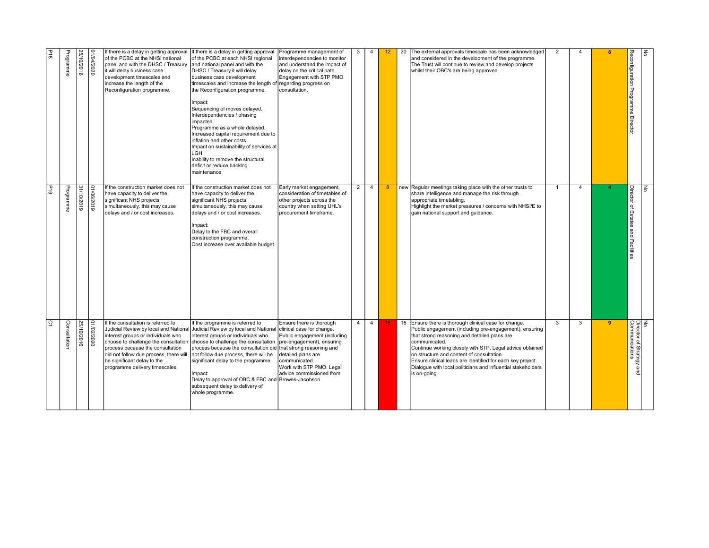| $\overline{G}$                                                                                                                                                                                                                                                                                                                                                                                                                                             | 61d                                                                                                                                                                                                                                                                                | B1d                                                                                                                                                                                                                                                                                                                                                                                                                                                                                                                                                                                        |
|------------------------------------------------------------------------------------------------------------------------------------------------------------------------------------------------------------------------------------------------------------------------------------------------------------------------------------------------------------------------------------------------------------------------------------------------------------|------------------------------------------------------------------------------------------------------------------------------------------------------------------------------------------------------------------------------------------------------------------------------------|--------------------------------------------------------------------------------------------------------------------------------------------------------------------------------------------------------------------------------------------------------------------------------------------------------------------------------------------------------------------------------------------------------------------------------------------------------------------------------------------------------------------------------------------------------------------------------------------|
| Consultation                                                                                                                                                                                                                                                                                                                                                                                                                                               | Programme                                                                                                                                                                                                                                                                          | Programme                                                                                                                                                                                                                                                                                                                                                                                                                                                                                                                                                                                  |
| 25/10/2016                                                                                                                                                                                                                                                                                                                                                                                                                                                 | 31110/2019                                                                                                                                                                                                                                                                         | 25/10/2016                                                                                                                                                                                                                                                                                                                                                                                                                                                                                                                                                                                 |
| 02022010                                                                                                                                                                                                                                                                                                                                                                                                                                                   | 0106/2019                                                                                                                                                                                                                                                                          | 1/04/2020                                                                                                                                                                                                                                                                                                                                                                                                                                                                                                                                                                                  |
| If the consultation is referred to<br>Judicial Review by local and Nationa<br>interest groups or individuals who<br>choose to challenge the consultation<br>process because the consultation<br>did not follow due process, there will<br>be significant delay to the<br>programme delivery timescales.                                                                                                                                                    | If the construction market does not<br>have capacity to deliver the<br>significant NHS projects<br>simultaneously, this may cause<br>delays and / or cost increases.                                                                                                               | If there is a delay in getting approval<br>of the PCBC at the NHSI national<br>panel and with the DHSC / Treasury<br>it will delay business case<br>development timescales and<br>increase the length of the<br>Reconfiguration programme.                                                                                                                                                                                                                                                                                                                                                 |
| If the programme is referred to<br>Judicial Review by local and National clinical case for change.<br>interest groups or individuals who<br>choose to challenge the consultation<br>process because the consultation did that strong reasoning and<br>not follow due process, there will be<br>significant delay to the programme.<br>Impact:<br>Delay to approval of OBC & FBC and Browns-Jacobson<br>subsequent delay to delivery of<br>whole programme. | If the construction market does not<br>have capacity to deliver the<br>significant NHS projects<br>simultaneously, this may cause<br>delays and / or cost increases.<br>Impact:<br>Delay to the FBC and overall<br>construction programme.<br>Cost increase over available budget. | If there is a delay in getting approval<br>of the PCBC at each NHSI regional<br>and national panel and with the<br>DHSC / Treasury it will delay<br>Ibusiness case development<br>timescales and increase the length<br>the Reconfiguration programme.<br>Impact:<br>Sequencing of moves delayed.<br>Interdependencies / phasing<br>impacted.<br>Programme as a whole delayed.<br>Increased capital requirement due to<br>inflation and other costs.<br>Impact on sustainability of services at<br>LGH.<br>Inability to remove the structural<br>deficit or reduce backlog<br>Imaintenance |
| Ensure there is thorough<br>Public engagement (including<br>pre-engagement), ensuring<br>detailed plans are<br>communicated.<br>Work with STP PMO. Legal<br>advice commissioned from                                                                                                                                                                                                                                                                       | Early market engagement,<br>consideration of timetables of<br>other projects across the<br>country when setting UHL's<br>procurement timeframe.                                                                                                                                    | Programme management of<br>interdependencies to monitor<br>and understand the impact of<br>delay on the critical path.<br>Engagement with STP PMO<br>regarding progress on<br>consultation.                                                                                                                                                                                                                                                                                                                                                                                                |
| $\overline{4}$                                                                                                                                                                                                                                                                                                                                                                                                                                             | $2^{\circ}$                                                                                                                                                                                                                                                                        | 3                                                                                                                                                                                                                                                                                                                                                                                                                                                                                                                                                                                          |
| $\overline{4}$                                                                                                                                                                                                                                                                                                                                                                                                                                             | $\overline{4}$                                                                                                                                                                                                                                                                     | $\overline{4}$                                                                                                                                                                                                                                                                                                                                                                                                                                                                                                                                                                             |
| 16 <sub>1</sub>                                                                                                                                                                                                                                                                                                                                                                                                                                            | 8                                                                                                                                                                                                                                                                                  | 12 <sup>2</sup>                                                                                                                                                                                                                                                                                                                                                                                                                                                                                                                                                                            |
|                                                                                                                                                                                                                                                                                                                                                                                                                                                            |                                                                                                                                                                                                                                                                                    | 20                                                                                                                                                                                                                                                                                                                                                                                                                                                                                                                                                                                         |
| 15 Ensure there is thorough clinical case for change.<br>Public engagement (including pre-engagement), ensuring<br>that strong reasoning and detailed plans are<br>communicated.<br>Continue working closely with STP. Legal advice obtained<br>on structure and content of consultation.<br>Ensure clinical leads are identified for each key project.<br>Dialogue with local politicians and influential stakeholders<br>is on-going.                    | new Regular meetings taking place with the other trusts to<br>share intelligence and manage the risk through<br>appropriate timetabling.<br>Highlight the market pressures / concerns with NHSI/E to<br>gain national support and guidance.                                        | The external approvals timescale has been acknowledged<br>and considered in the development of the programme.<br>The Trust will continue to review and develop projects<br>whilst their OBC's are being approved.                                                                                                                                                                                                                                                                                                                                                                          |
| $\overline{3}$                                                                                                                                                                                                                                                                                                                                                                                                                                             | $\overline{1}$                                                                                                                                                                                                                                                                     | 2                                                                                                                                                                                                                                                                                                                                                                                                                                                                                                                                                                                          |
| 3                                                                                                                                                                                                                                                                                                                                                                                                                                                          | $\overline{4}$                                                                                                                                                                                                                                                                     | -4                                                                                                                                                                                                                                                                                                                                                                                                                                                                                                                                                                                         |
| $\overline{\mathbf{9}}$                                                                                                                                                                                                                                                                                                                                                                                                                                    |                                                                                                                                                                                                                                                                                    | я                                                                                                                                                                                                                                                                                                                                                                                                                                                                                                                                                                                          |
| No<br>Director of Strategy and<br>Communications                                                                                                                                                                                                                                                                                                                                                                                                           | Director of Estates and Facilities                                                                                                                                                                                                                                                 | Reconfiguration Programme Director                                                                                                                                                                                                                                                                                                                                                                                                                                                                                                                                                         |
|                                                                                                                                                                                                                                                                                                                                                                                                                                                            | $\overline{g}$                                                                                                                                                                                                                                                                     | 종                                                                                                                                                                                                                                                                                                                                                                                                                                                                                                                                                                                          |
|                                                                                                                                                                                                                                                                                                                                                                                                                                                            |                                                                                                                                                                                                                                                                                    |                                                                                                                                                                                                                                                                                                                                                                                                                                                                                                                                                                                            |
|                                                                                                                                                                                                                                                                                                                                                                                                                                                            |                                                                                                                                                                                                                                                                                    |                                                                                                                                                                                                                                                                                                                                                                                                                                                                                                                                                                                            |
|                                                                                                                                                                                                                                                                                                                                                                                                                                                            |                                                                                                                                                                                                                                                                                    |                                                                                                                                                                                                                                                                                                                                                                                                                                                                                                                                                                                            |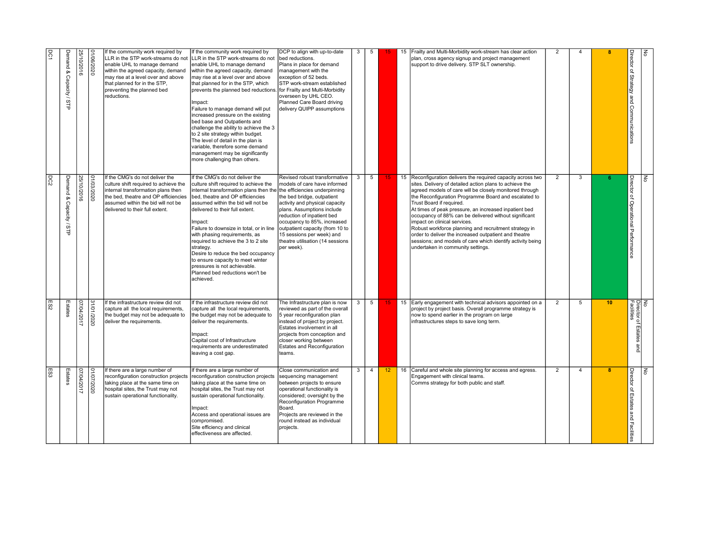| 1001<br>DC2 | Demand & Capacity / STP | 25/10/2016 | 01/06/2020 | If the community work required by<br>LLR in the STP work-streams do not<br>enable UHL to manage demand<br>within the agreed capacity, demand<br>may rise at a level over and above<br>that planned for in the STP,<br>preventing the planned bed<br>reductions.<br>If the CMG's do not deliver the<br>culture shift required to achieve the | If the community work required by<br>LLR in the STP work-streams do not<br>enable UHL to manage demand<br>within the agreed capacity, demand<br>may rise at a level over and above<br>that planned for in the STP, which<br>prevents the planned bed reductions<br>Impact:<br>Failure to manage demand will put<br>increased pressure on the existing<br>bed base and Outpatients and<br>challenge the ability to achieve the 3<br>to 2 site strategy within budget.<br>The level of detail in the plan is<br>variable, therefore some demand<br>management may be significantly<br>more challenging than others.<br>If the CMG's do not deliver the<br>culture shift required to achieve the | DCP to align with up-to-date<br>bed reductions.<br>Plans in place for demand<br>management with the<br>exception of 52 beds.<br>STP work-stream established<br>for Frailty and Multi-Morbidity<br>overseen by UHL CEO.<br>Planned Care Board driving<br>delivery QUIPP assumptions<br>Revised robust transformative<br>models of care have informed | 3            | 5<br>5         |                 | Frailty and Multi-Morbidity work-stream has clear action<br>plan, cross agency signup and project management<br>support to drive delivery. STP SLT ownership.<br>15 Reconfiguration delivers the required capacity across two<br>sites. Delivery of detailed action plans to achieve the                                                                                                                                                                                                                           | 2<br>$\overline{2}$ | -4<br>3        | я               | Director of Strategy and Communications | $\epsilon$<br>$\overline{5}$              |
|-------------|-------------------------|------------|------------|---------------------------------------------------------------------------------------------------------------------------------------------------------------------------------------------------------------------------------------------------------------------------------------------------------------------------------------------|-----------------------------------------------------------------------------------------------------------------------------------------------------------------------------------------------------------------------------------------------------------------------------------------------------------------------------------------------------------------------------------------------------------------------------------------------------------------------------------------------------------------------------------------------------------------------------------------------------------------------------------------------------------------------------------------------|-----------------------------------------------------------------------------------------------------------------------------------------------------------------------------------------------------------------------------------------------------------------------------------------------------------------------------------------------------|--------------|----------------|-----------------|--------------------------------------------------------------------------------------------------------------------------------------------------------------------------------------------------------------------------------------------------------------------------------------------------------------------------------------------------------------------------------------------------------------------------------------------------------------------------------------------------------------------|---------------------|----------------|-----------------|-----------------------------------------|-------------------------------------------|
|             | Demand & Capacity / STF | 25/10/2016 | 0202/2020  | internal transformation plans then<br>the bed, theatre and OP efficiencies<br>assumed within the bid will not be<br>delivered to their full extent.                                                                                                                                                                                         | internal transformation plans then the the efficiencies underpinning<br>bed, theatre and OP efficiencies<br>assumed within the bid will not be<br>delivered to their full extent.<br>Impact:<br>Failure to downsize in total, or in line<br>with phasing requirements, as<br>required to achieve the 3 to 2 site<br>strategy.<br>Desire to reduce the bed occupancy<br>to ensure capacity to meet winter<br>pressures is not achievable.<br>Planned bed reductions won't be<br>lachieved.                                                                                                                                                                                                     | the bed bridge, outpatient<br>activity and physical capacity<br>plans. Assumptions include<br>reduction of inpatient bed<br>occupancy to 85%, increased<br>outpatient capacity (from 10 to<br>15 sessions per week) and<br>theatre utilisation (14 sessions<br>per week).                                                                           |              |                |                 | agreed models of care will be closely monitored through<br>the Reconfiguration Programme Board and escalated to<br>Trust Board if required.<br>At times of peak pressure, an increased inpatient bed<br>occupancy of 88% can be delivered without significant<br>impact on clinical services.<br>Robust workforce planning and recruitment strategy in<br>order to deliver the increased outpatient and theatre<br>sessions; and models of care which identify activity being<br>undertaken in community settings. |                     |                |                 | Director of Operational Performance     |                                           |
| ES2         | Estates                 | 07/04/2017 | 31/01/2020 | If the infrastructure review did not<br>capture all the local requirements,<br>the budget may not be adequate to<br>deliver the requirements.                                                                                                                                                                                               | If the infrastructure review did not<br>capture all the local requirements,<br>the budget may not be adequate to<br>deliver the requirements.<br>Impact:<br><b>ICapital cost of Infrastructure</b><br>requirements are underestimated<br>leaving a cost gap.                                                                                                                                                                                                                                                                                                                                                                                                                                  | The Infrastructure plan is now<br>reviewed as part of the overall<br>5 year reconfiguration plan<br>instead of project by project.<br>Estates involvement in all<br>projects from conception and<br>closer working between<br>Estates and Reconfiguration<br>teams.                                                                                 | 3            | 5              |                 | 15 Early engagement with technical advisors appointed on a<br>project by project basis. Overall programme strategy is<br>now to spend earlier in the program on large<br>infrastructures steps to save long term.                                                                                                                                                                                                                                                                                                  | $\overline{2}$      | 5              | 10 <sup>°</sup> | and                                     | No<br>Director of Estates a<br>Facilities |
| ES3         | Estates                 | 07/04/2017 | 020Z/2010  | If there are a large number of<br>reconfiguration construction projects<br>taking place at the same time on<br>hospital sites, the Trust may not<br>sustain operational functionality.                                                                                                                                                      | If there are a large number of<br>reconfiguration construction projects<br>taking place at the same time on<br>hospital sites, the Trust may not<br>sustain operational functionality.<br>Impact:<br>Access and operational issues are<br>Icompromised.<br>Site efficiency and clinical<br>effectiveness are affected.                                                                                                                                                                                                                                                                                                                                                                        | Close communication and<br>sequencing management<br>between projects to ensure<br>operational functionality is<br>considered; oversight by the<br>Reconfiguration Programme<br>Board.<br>Projects are reviewed in the<br>round instead as individual<br>projects.                                                                                   | $\mathbf{3}$ | $\overline{4}$ | 12 <sup>2</sup> | 16 Careful and whole site planning for access and egress.<br>Engagement with clinical teams.<br>Comms strategy for both public and staff.                                                                                                                                                                                                                                                                                                                                                                          | $\overline{2}$      | $\overline{4}$ | $\mathbf{R}$    | Director of Estates and Facilities      | 종                                         |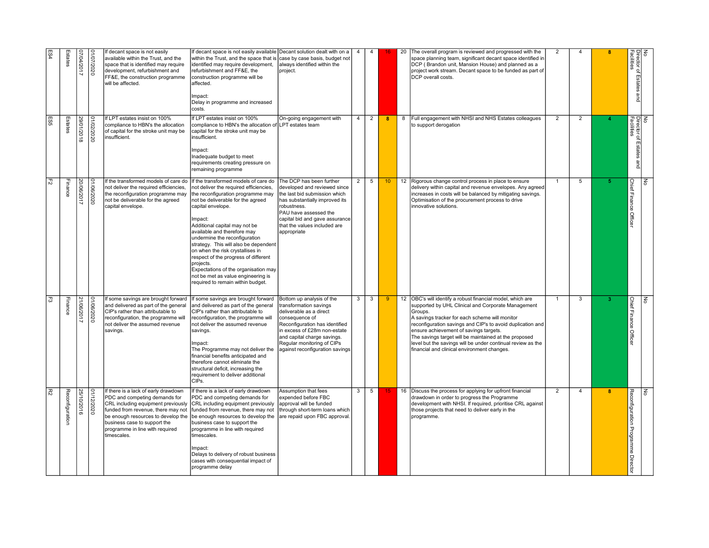| E84             | Estates         | 07/04/2017 | 1/07/2020  | If decant space is not easily<br>available within the Trust, and the<br>space that is identified may require<br>development, refurbishment and<br>FF&E, the construction programme<br>will be affected.                                                                   | If decant space is not easily available Decant solution dealt with on a<br>within the Trust, and the space that is case by case basis, budget not<br>identified may require development,<br>refurbishment and FF&E, the<br>construction programme will be<br>affected.<br>Impact:<br>Delay in programme and increased<br>costs.                                                                                                                                                                                                                                           | always identified within the<br>project.                                                                                                                                                                                                                            | $\overline{4}$ | $\overline{4}$  | 16 <sup>°</sup> | 20 | The overall program is reviewed and progressed with the<br>space planning team, significant decant space identified ir<br>DCP (Brandon unit, Mansion House) and planned as a<br>Iproiect work stream. Decant space to be funded as part of<br>DCP overall costs.                                                                                                                                                                                             | $\overline{2}$ | $\overline{a}$ | я            | No<br>Director of Estates a<br>Facilities<br>and    |  |
|-----------------|-----------------|------------|------------|---------------------------------------------------------------------------------------------------------------------------------------------------------------------------------------------------------------------------------------------------------------------------|---------------------------------------------------------------------------------------------------------------------------------------------------------------------------------------------------------------------------------------------------------------------------------------------------------------------------------------------------------------------------------------------------------------------------------------------------------------------------------------------------------------------------------------------------------------------------|---------------------------------------------------------------------------------------------------------------------------------------------------------------------------------------------------------------------------------------------------------------------|----------------|-----------------|-----------------|----|--------------------------------------------------------------------------------------------------------------------------------------------------------------------------------------------------------------------------------------------------------------------------------------------------------------------------------------------------------------------------------------------------------------------------------------------------------------|----------------|----------------|--------------|-----------------------------------------------------|--|
| ES5             | Estates         | 29/01/2018 | 01/02/2020 | If LPT estates insist on 100%<br>compliance to HBN's the allocation<br>of capital for the stroke unit may be<br>insufficient.                                                                                                                                             | f LPT estates insist on 100%<br>compliance to HBN's the allocation of ${\sf ILPT}$ estates team<br>capital for the stroke unit may be<br>insufficient.<br>Impact:<br>Inadequate budget to meet<br>requirements creating pressure on<br>emaining programme                                                                                                                                                                                                                                                                                                                 | On-going engagement with                                                                                                                                                                                                                                            | 4 <sup>1</sup> | $\overline{2}$  | 8               |    | 8 Full engagement with NHSI and NHS Estates colleagues<br>to support derogation                                                                                                                                                                                                                                                                                                                                                                              | $\overline{2}$ | $\overline{2}$ |              | <br> <br> Director of Estates and<br> Facilites     |  |
| $\overline{F2}$ | Finance         | 20/06/2017 | 01/06/2020 | If the transformed models of care do<br>not deliver the required efficiencies,<br>the reconfiguration programme may<br>not be deliverable for the agreed<br>capital envelope.                                                                                             | If the transformed models of care do   The DCP has been further<br>not deliver the required efficiencies,<br>the reconfiguration programme may<br>not be deliverable for the agreed<br>capital envelope.<br>Impact:<br>Additional capital may not be<br>available and therefore may<br>undermine the reconfiguration<br>strategy. This will also be dependent<br>on when the risk crystallises in<br>respect of the progress of different<br>projects.<br>Expectations of the organisation may<br>not be met as value engineering is<br>required to remain within budget. | developed and reviewed since<br>the last bid submission which<br>has substantially improved its<br>robustness.<br>PAU have assessed the<br>capital bid and gave assurance<br>that the values included are<br>appropriate                                            |                | $2 \mid 5 \mid$ | 10              |    | 12 Rigorous change control process in place to ensure<br>delivery within capital and revenue envelopes. Any agreed<br>increases in costs will be balanced by mitigating savings.<br>Optimisation of the procurement process to drive<br>innovative solutions.                                                                                                                                                                                                | $\overline{1}$ | 5              |              | Chief Finance Office<br>डि                          |  |
| 5               | Finance         | 21/06/2017 | /06/2020   | f some savings are brought forward<br>and delivered as part of the general<br>CIP's rather than attributable to<br>reconfiguration, the programme will<br>not deliver the assumed revenue<br>savings.                                                                     | If some savings are brought forward<br>and delivered as part of the general<br>CIP's rather than attributable to<br>reconfiguration, the programme will<br>not deliver the assumed revenue<br>savings.<br>mpact:<br>The Programme may not deliver the<br>financial benefits anticipated and<br>therefore cannot eliminate the<br>structural deficit, increasing the<br>requirement to deliver additional<br>CIPs.                                                                                                                                                         | Bottom up analysis of the<br>transformation savings<br>Ideliverable as a direct<br>consequence of<br>Reconfiguration has identified<br>in excess of £28m non-estate<br>and capital charge savings.<br>Regular monitoring of CIPs<br>against reconfiguration savings | 3              | $3^{\circ}$     | -9              |    | 12 OBC's will identify a robust financial model, which are<br>supported by UHL Clinical and Corporate Management<br>Groups.<br>A savings tracker for each scheme will monitor<br>reconfiguration savings and CIP's to avoid duplication and<br>ensure achievement of savings targets.<br>The savings target will be maintained at the proposed<br>level but the savings will be under continual review as the<br>financial and clinical environment changes. |                | $\overline{3}$ |              | <b>Chief Finance Officer</b><br>종                   |  |
| R2              | Reconfiguration | 25/10/2016 | 1112/2020  | If there is a lack of early drawdown<br>PDC and competing demands for<br>CRL including equipment previously<br>funded from revenue, there may not<br>be enough resources to develop the<br>business case to support the<br>programme in line with required<br>timescales. | f there is a lack of early drawdown<br>PDC and competing demands for<br>CRL including equipment previously<br>funded from revenue, there may not<br>be enough resources to develop the<br>business case to support the<br>programme in line with required<br>timescales.<br>Impact:<br>Delays to delivery of robust business<br>cases with consequential impact of<br>programme delay                                                                                                                                                                                     | Assumption that fees<br>expended before FBC<br>approval will be funded<br>through short-term loans which<br>are repaid upon FBC approval                                                                                                                            | 3              | 5 <sup>7</sup>  |                 |    | 16 Discuss the process for applying for upfront financial<br>drawdown in order to progress the Programme<br>development with NHSI. If required, prioritise CRL against<br>those projects that need to deliver early in the<br>programme.                                                                                                                                                                                                                     | 2              | $\overline{4}$ | $\mathbf{R}$ | Reconfiguration Programme Directo<br>$\overline{g}$ |  |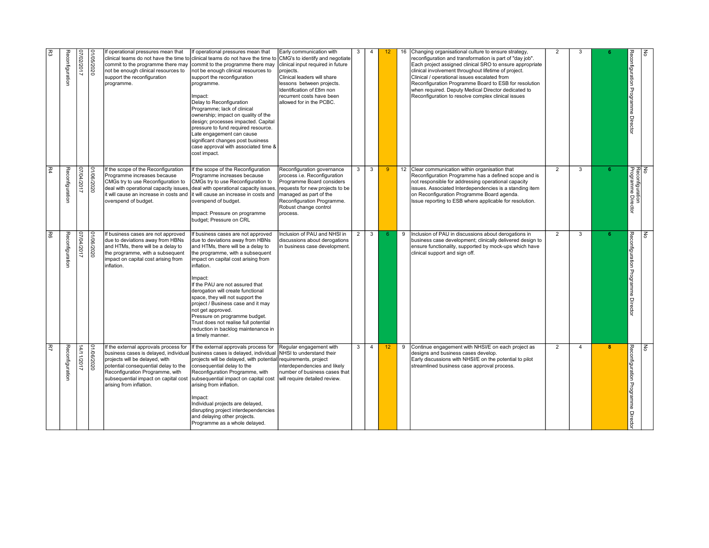| $\mathbb{R}^3$ | Reconfiguration | 07/02/2017 | 1/05/2020  | f operational pressures mean that<br>clinical teams do not have the time to<br>commit to the programme there may<br>not be enough clinical resources to<br>support the reconfiguration<br>programme.                                                           | If operational pressures mean that<br>Iclinical teams do not have the time to<br>commit to the programme there may<br>not be enough clinical resources to<br>support the reconfiguration<br>programme.<br>Impact:<br>Delay to Reconfiguration<br>Programme: lack of clinical<br>ownership; impact on quality of the<br>design; processes impacted. Capital<br>pressure to fund required resource.<br>Late engagement can cause<br>significant changes post business<br>case approval with associated time &<br>cost impact. | Early communication with<br>CMG's to identify and negotiate<br>clinical input required in future<br>projects.<br>Clinical leaders will share<br>lessons between projects.<br>Identification of £8m non<br>recurrent costs have been<br>allowed for in the PCBC. | 3 |                | 12 <sup>2</sup> |    | Changing organisational culture to ensure strategy,<br>econfiguration and transformation is part of "day iob".<br>Each project assigned clinical SRO to ensure appropriate<br>clinical involvement throughout lifetime of project.<br>Clinical / operational issues escalated from<br>Reconfiguration Programme Board to ESB for resolution<br>when required. Deputy Medical Director dedicated to<br>Reconfiguration to resolve complex clinical issues | $\overline{2}$ |                |   | Reconfiguration Programme Director          | $\frac{2}{5}$ |  |
|----------------|-----------------|------------|------------|----------------------------------------------------------------------------------------------------------------------------------------------------------------------------------------------------------------------------------------------------------------|-----------------------------------------------------------------------------------------------------------------------------------------------------------------------------------------------------------------------------------------------------------------------------------------------------------------------------------------------------------------------------------------------------------------------------------------------------------------------------------------------------------------------------|-----------------------------------------------------------------------------------------------------------------------------------------------------------------------------------------------------------------------------------------------------------------|---|----------------|-----------------|----|----------------------------------------------------------------------------------------------------------------------------------------------------------------------------------------------------------------------------------------------------------------------------------------------------------------------------------------------------------------------------------------------------------------------------------------------------------|----------------|----------------|---|---------------------------------------------|---------------|--|
| $\mathbb{R}^4$ | Reconfiguration | 1102/12017 | 020209010  | If the scope of the Reconfiguration<br>Programme increases because<br>CMGs try to use Reconfiguration to<br>deal with operational capacity issues<br>it will cause an increase in costs and<br>overspend of budget.                                            | If the scope of the Reconfiguration<br>Programme increases because<br>CMGs try to use Reconfiguration to<br>deal with operational capacity issues<br>It will cause an increase in costs and<br>overspend of budget.<br>Impact: Pressure on programme<br>budget; Pressure on CRL                                                                                                                                                                                                                                             | Reconfiguration governance<br>process i.e. Reconfiguration<br>Programme Board considers<br>requests for new projects to be<br>managed as part of the<br>Reconfiguration Programme.<br>Robust change control<br>process.                                         | 3 | $\mathbf{3}$   | 9               |    | 12 Clear communication within organisation that<br>Reconfiguration Programme has a defined scope and is<br>not responsible for addressing operational capacity<br>issues. Associated Interdependencies is a standing item<br>on Reconfiguration Programme Board agenda.<br>Issue reporting to ESB where applicable for resolution.                                                                                                                       | $\overline{2}$ | 3              |   | No<br>Reconfiguration<br>Programme Director |               |  |
| 3              | Reconfiguration | 1102/2017  | 01/06/2020 | If business cases are not approved<br>due to deviations away from HBNs<br>and HTMs, there will be a delay to<br>the programme, with a subsequent<br>impact on capital cost arising from<br>inflation.                                                          | f business cases are not approved<br>due to deviations away from HBNs<br>and HTMs, there will be a delay to<br>the programme, with a subsequent<br>impact on capital cost arising from<br>inflation.<br>Impact:<br>If the PAU are not assured that<br>derogation will create functional<br>space, they will not support the<br>project / Business case and it may<br>not get approved.<br>Pressure on programme budget.<br>Trust does not realise full potential<br>reduction in backlog maintenance in<br>a timely manner. | nclusion of PAU and NHSI in<br>discussions about derogations<br>n business case development.                                                                                                                                                                    | 2 | $\mathbf{3}$   |                 |    | Inclusion of PAU in discussions about derogations in<br>business case development; clinically delivered design to<br>ensure functionality, supported by mock-ups which have<br>clinical support and sign off.                                                                                                                                                                                                                                            | 2              | 3              |   | Reconfiguration Programme Director          | $\leq$        |  |
| 萃              | Reconfiguration | 14/11/2017 | 0202/90/10 | If the external approvals process for<br>business cases is delayed, individual<br>projects will be delayed, with<br>potential consequential delay to the<br>Reconfiguration Programme, with<br>subsequential impact on capital cost<br>arising from inflation. | If the external approvals process for<br>business cases is delayed, individual<br>projects will be delayed, with potential requirements, project<br>consequential delay to the<br>Reconfiguration Programme, with<br>subsequential impact on capital cost<br>arising from inflation.<br>Impact:<br>Individual projects are delayed,<br>disrupting project interdependencies<br>and delaying other projects.<br>Programme as a whole delayed.                                                                                | Regular engagement with<br>NHSI to understand their<br>interdependencies and likely<br>number of business cases that<br>will require detailed review.                                                                                                           | 3 | $\overline{4}$ | 12 <sup>2</sup> | -9 | Continue engagement with NHSI/E on each project as<br>designs and business cases develop.<br>Early discussions with NHSI/E on the potential to pilot<br>streamlined business case approval process.                                                                                                                                                                                                                                                      | 2              | $\overline{4}$ | 8 | Reconfiguration Programme Directo           | $\leq$        |  |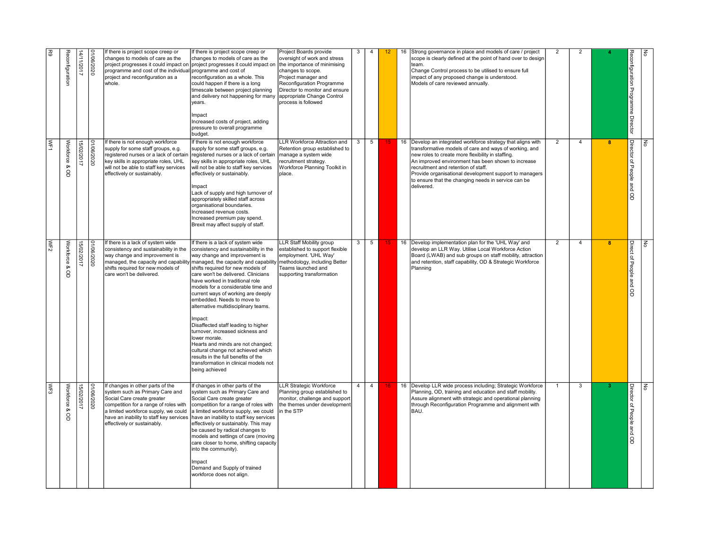|                                                                                                                                                                                                                                                                                                                                                                                                                                                                                                                                         | WF2<br>WF3                                                                                                                                                                                                                                                                                                                                                                                                                                                                                                                                                                                                                                                                                                                                                                                                     | WF1                                                                                                                                                                                                                                                                                                                                                                                                                                                                                                                    | $\overline{5}$                                                                                                                                                                                                                                                                                                                                                                                                                                                          |
|-----------------------------------------------------------------------------------------------------------------------------------------------------------------------------------------------------------------------------------------------------------------------------------------------------------------------------------------------------------------------------------------------------------------------------------------------------------------------------------------------------------------------------------------|----------------------------------------------------------------------------------------------------------------------------------------------------------------------------------------------------------------------------------------------------------------------------------------------------------------------------------------------------------------------------------------------------------------------------------------------------------------------------------------------------------------------------------------------------------------------------------------------------------------------------------------------------------------------------------------------------------------------------------------------------------------------------------------------------------------|------------------------------------------------------------------------------------------------------------------------------------------------------------------------------------------------------------------------------------------------------------------------------------------------------------------------------------------------------------------------------------------------------------------------------------------------------------------------------------------------------------------------|-------------------------------------------------------------------------------------------------------------------------------------------------------------------------------------------------------------------------------------------------------------------------------------------------------------------------------------------------------------------------------------------------------------------------------------------------------------------------|
|                                                                                                                                                                                                                                                                                                                                                                                                                                                                                                                                         |                                                                                                                                                                                                                                                                                                                                                                                                                                                                                                                                                                                                                                                                                                                                                                                                                |                                                                                                                                                                                                                                                                                                                                                                                                                                                                                                                        |                                                                                                                                                                                                                                                                                                                                                                                                                                                                         |
| Workforce &<br>8                                                                                                                                                                                                                                                                                                                                                                                                                                                                                                                        | Workforce &<br>$\mathsf{S}$                                                                                                                                                                                                                                                                                                                                                                                                                                                                                                                                                                                                                                                                                                                                                                                    | Workforce &<br>$\mathsf{S}$                                                                                                                                                                                                                                                                                                                                                                                                                                                                                            | Reconfiguration                                                                                                                                                                                                                                                                                                                                                                                                                                                         |
| 15/02/2017                                                                                                                                                                                                                                                                                                                                                                                                                                                                                                                              | 15/02/2017                                                                                                                                                                                                                                                                                                                                                                                                                                                                                                                                                                                                                                                                                                                                                                                                     | 15/02/2017                                                                                                                                                                                                                                                                                                                                                                                                                                                                                                             | 14/11/2017                                                                                                                                                                                                                                                                                                                                                                                                                                                              |
| 01/06/2020                                                                                                                                                                                                                                                                                                                                                                                                                                                                                                                              | 01/06/2020                                                                                                                                                                                                                                                                                                                                                                                                                                                                                                                                                                                                                                                                                                                                                                                                     | 1/06/2020                                                                                                                                                                                                                                                                                                                                                                                                                                                                                                              | 1/06/2020                                                                                                                                                                                                                                                                                                                                                                                                                                                               |
| system such as Primary Care and<br>Social Care create greater<br>competition for a range of roles with<br>effectively or sustainably.                                                                                                                                                                                                                                                                                                                                                                                                   | If there is a lack of system wide<br>consistency and sustainability in the<br>way change and improvement is<br>shifts required for new models of<br>care won't be delivered.<br>If changes in other parts of the                                                                                                                                                                                                                                                                                                                                                                                                                                                                                                                                                                                               | If there is not enough workforce<br>supply for some staff groups, e.g.<br>key skills in appropriate roles, UHL<br>will not be able to staff key services<br>effectively or sustainably.                                                                                                                                                                                                                                                                                                                                | If there is project scope creep or<br>changes to models of care as the<br>programme and cost of the individual programme and cost of<br>project and reconfiguration as a<br>whole.                                                                                                                                                                                                                                                                                      |
| system such as Primary Care and<br>Social Care create greater<br>competition for a range of roles with<br>a limited workforce supply, we could $ a $ limited workforce supply, we could<br>have an inability to staff key services   have an inability to staff key services<br>effectively or sustainably. This may<br>be caused by radical changes to<br>models and settings of care (moving<br>care closer to home, shifting capacity<br>into the community).<br>Impact<br>Demand and Supply of trained<br>workforce does not align. | If there is a lack of system wide<br>consistency and sustainability in the<br>way change and improvement is<br>managed, the capacity and capability managed, the capacity and capability methodology, including Better<br>shifts required for new models of<br>care won't be delivered. Clinicians<br>have worked in traditional role<br>models for a considerable time and<br>current ways of working are deeply<br>embedded. Needs to move to<br>alternative multidisciplinary teams.<br>Impact:<br>Disaffected staff leading to higher<br>turnover, increased sickness and<br>lower morale<br>Hearts and minds are not changed;<br>cultural change not achieved which<br>results in the full benefits of the<br>transformation in clinical models not<br>being achieved<br>If changes in other parts of the | If there is not enough workforce<br>supply for some staff groups, e.g.<br>registered nurses or a lack of certain ∣registered nurses or a lack of certain ∣manage a system wide<br>key skills in appropriate roles, UHL<br>will not be able to staff key services<br>effectively or sustainably.<br>Impact<br>Lack of supply and high turnover of<br>appropriately skilled staff across<br>organisational boundaries.<br>Increased revenue costs.<br>Increased premium pay spend.<br>Brexit may affect supply of staff. | If there is project scope creep or<br>changes to models of care as the<br>project progresses it could impact on project progresses it could impact on the importance of minimising<br>reconfiguration as a whole. This<br>could happen if there is a long<br>timescale between project planning<br>and delivery not happening for many appropriate Change Control<br>vears.<br>Impact<br>Increased costs of project, adding<br>pressure to overall programme<br>budget. |
| Planning group established to<br>monitor, challenge and support<br>the themes under development<br>In the STP                                                                                                                                                                                                                                                                                                                                                                                                                           | LLR Staff Mobility group<br>established to support flexible<br>employment. 'UHL Way'<br>Teams launched and<br>supporting transformation<br>LLR Strategic Workforce                                                                                                                                                                                                                                                                                                                                                                                                                                                                                                                                                                                                                                             | LLR Workforce Attraction and<br>Retention group established to<br>recruitment strategy.<br>Workforce Planning Toolkit in<br>place.                                                                                                                                                                                                                                                                                                                                                                                     | Project Boards provide<br>oversight of work and stress<br>changes to scope.<br>Project manager and<br>Reconfiguration Programme<br>Director to monitor and ensure<br>process is followed                                                                                                                                                                                                                                                                                |
|                                                                                                                                                                                                                                                                                                                                                                                                                                                                                                                                         | $3^{\circ}$                                                                                                                                                                                                                                                                                                                                                                                                                                                                                                                                                                                                                                                                                                                                                                                                    | 3                                                                                                                                                                                                                                                                                                                                                                                                                                                                                                                      | $\mathbf{3}$                                                                                                                                                                                                                                                                                                                                                                                                                                                            |
|                                                                                                                                                                                                                                                                                                                                                                                                                                                                                                                                         | 5 <sup>5</sup><br>$4 \mid 4$                                                                                                                                                                                                                                                                                                                                                                                                                                                                                                                                                                                                                                                                                                                                                                                   | 5 <sup>5</sup>                                                                                                                                                                                                                                                                                                                                                                                                                                                                                                         | $\overline{4}$                                                                                                                                                                                                                                                                                                                                                                                                                                                          |
|                                                                                                                                                                                                                                                                                                                                                                                                                                                                                                                                         |                                                                                                                                                                                                                                                                                                                                                                                                                                                                                                                                                                                                                                                                                                                                                                                                                |                                                                                                                                                                                                                                                                                                                                                                                                                                                                                                                        | 12 <sup>°</sup>                                                                                                                                                                                                                                                                                                                                                                                                                                                         |
|                                                                                                                                                                                                                                                                                                                                                                                                                                                                                                                                         |                                                                                                                                                                                                                                                                                                                                                                                                                                                                                                                                                                                                                                                                                                                                                                                                                |                                                                                                                                                                                                                                                                                                                                                                                                                                                                                                                        | 16                                                                                                                                                                                                                                                                                                                                                                                                                                                                      |
| Planning, OD, training and education and staff mobility.<br>Assure alignment with strategic and operational planning<br>through Reconfiguration Programme and alignment with<br>BAU.                                                                                                                                                                                                                                                                                                                                                    | 16 Develop implementation plan for the 'UHL Way' and<br>develop an LLR Way. Utilise Local Workforce Action<br>Board (LWAB) and sub groups on staff mobility, attraction<br>and retention, staff capability, OD & Strategic Workforce<br>Planning<br>16 Develop LLR wide process including; Strategic Workforce                                                                                                                                                                                                                                                                                                                                                                                                                                                                                                 | 16 Develop an integrated workforce strategy that aligns with<br>transformative models of care and ways of working, and<br>new roles to create more flexibility in staffing.<br>An improved environment has been shown to increase<br>recruitment and retention of staff.<br>Provide organisational development support to managers<br>to ensure that the changing needs in service can be<br>delivered.                                                                                                                | Strong governance in place and models of care / project<br>scope is clearly defined at the point of hand over to design<br>team.<br>Change Control process to be utilised to ensure full<br>impact of any proposed change is understood.<br>Models of care reviewed annually.                                                                                                                                                                                           |
|                                                                                                                                                                                                                                                                                                                                                                                                                                                                                                                                         | $\overline{2}$<br>$\overline{1}$                                                                                                                                                                                                                                                                                                                                                                                                                                                                                                                                                                                                                                                                                                                                                                               | $\overline{2}$                                                                                                                                                                                                                                                                                                                                                                                                                                                                                                         | $\overline{2}$                                                                                                                                                                                                                                                                                                                                                                                                                                                          |
|                                                                                                                                                                                                                                                                                                                                                                                                                                                                                                                                         | $\overline{4}$<br>$\overline{3}$                                                                                                                                                                                                                                                                                                                                                                                                                                                                                                                                                                                                                                                                                                                                                                               | $\overline{4}$                                                                                                                                                                                                                                                                                                                                                                                                                                                                                                         | $\overline{2}$                                                                                                                                                                                                                                                                                                                                                                                                                                                          |
|                                                                                                                                                                                                                                                                                                                                                                                                                                                                                                                                         | $\mathbf{R}$                                                                                                                                                                                                                                                                                                                                                                                                                                                                                                                                                                                                                                                                                                                                                                                                   | 8                                                                                                                                                                                                                                                                                                                                                                                                                                                                                                                      |                                                                                                                                                                                                                                                                                                                                                                                                                                                                         |
| Director of People<br>and<br>S.                                                                                                                                                                                                                                                                                                                                                                                                                                                                                                         | Direct of People and OD                                                                                                                                                                                                                                                                                                                                                                                                                                                                                                                                                                                                                                                                                                                                                                                        | Director of People<br>and<br>8                                                                                                                                                                                                                                                                                                                                                                                                                                                                                         | Reconfiguration Programme Director                                                                                                                                                                                                                                                                                                                                                                                                                                      |
|                                                                                                                                                                                                                                                                                                                                                                                                                                                                                                                                         | डि<br>डि                                                                                                                                                                                                                                                                                                                                                                                                                                                                                                                                                                                                                                                                                                                                                                                                       | $\overline{z}$                                                                                                                                                                                                                                                                                                                                                                                                                                                                                                         | $\leq$                                                                                                                                                                                                                                                                                                                                                                                                                                                                  |
|                                                                                                                                                                                                                                                                                                                                                                                                                                                                                                                                         |                                                                                                                                                                                                                                                                                                                                                                                                                                                                                                                                                                                                                                                                                                                                                                                                                |                                                                                                                                                                                                                                                                                                                                                                                                                                                                                                                        |                                                                                                                                                                                                                                                                                                                                                                                                                                                                         |
|                                                                                                                                                                                                                                                                                                                                                                                                                                                                                                                                         |                                                                                                                                                                                                                                                                                                                                                                                                                                                                                                                                                                                                                                                                                                                                                                                                                |                                                                                                                                                                                                                                                                                                                                                                                                                                                                                                                        |                                                                                                                                                                                                                                                                                                                                                                                                                                                                         |